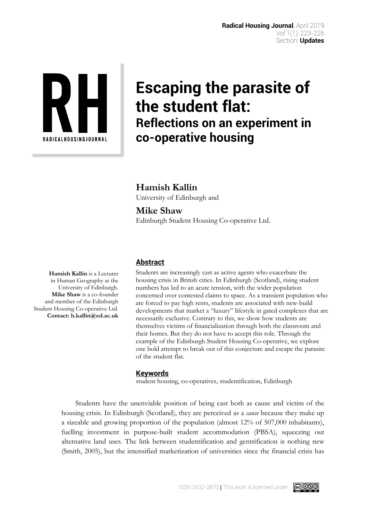

## **Escaping the parasite of the student flat: Reflections on an experiment in co-operative housing**

**Hamish Kallin** University of Edinburgh and

## **Mike Shaw** Edinburgh Student Housing Co-operative Ltd.

**Abstract**

Students are increasingly cast as active agents who exacerbate the housing crisis in British cities. In Edinburgh (Scotland), rising student numbers has led to an acute tension, with the wider population concerned over contested claims to space. As a transient population who are forced to pay high rents, students are associated with new-build developments that market a "luxury" lifestyle in gated complexes that are necessarily exclusive. Contrary to this, we show how students are themselves victims of financialization through both the classroom and their homes. But they do not have to accept this role. Through the example of the Edinburgh Student Housing Co-operative, we explore one bold attempt to break out of this conjecture and escape the parasite of the student flat.

## **Keywords**

student housing, co-operatives, studentification, Edinburgh

Students have the unenviable position of being cast both as cause and victim of the housing crisis. In Edinburgh (Scotland), they are perceived as a *cause* because they make up a sizeable and growing proportion of the population (almost 12% of 507,000 inhabitants), fuelling investment in purpose-built student accommodation (PBSA), squeezing out alternative land uses. The link between studentification and gentrification is nothing new (Smith, 2005), but the intensified marketization of universities since the financial crisis has

**Hamish Kallin** is a Lecturer in Human Geography at the University of Edinburgh. **Mike Shaw** is a co-founder and member of the Edinburgh Student Housing Co-operative Ltd. **Contact: h.kallin@ed.ac.uk**



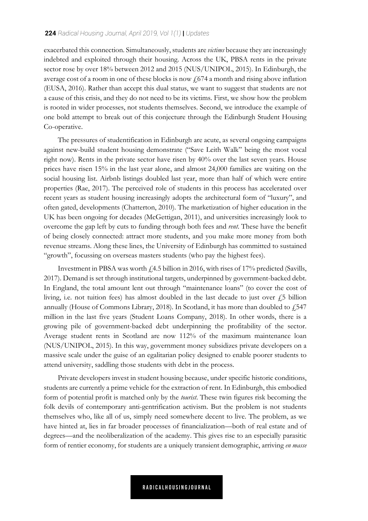exacerbated this connection. Simultaneously, students are *victims* because they are increasingly indebted and exploited through their housing. Across the UK, PBSA rents in the private sector rose by over 18% between 2012 and 2015 (NUS/UNIPOL, 2015). In Edinburgh, the average cost of a room in one of these blocks is now  $\sqrt{674}$  a month and rising above inflation (EUSA, 2016). Rather than accept this dual status, we want to suggest that students are not a cause of this crisis, and they do not need to be its victims. First, we show how the problem is rooted in wider processes, not students themselves. Second, we introduce the example of one bold attempt to break out of this conjecture through the Edinburgh Student Housing Co-operative.

The pressures of studentification in Edinburgh are acute, as several ongoing campaigns against new-build student housing demonstrate ("Save Leith Walk" being the most vocal right now). Rents in the private sector have risen by 40% over the last seven years. House prices have risen 15% in the last year alone, and almost 24,000 families are waiting on the social housing list. Airbnb listings doubled last year, more than half of which were entire properties (Rae, 2017). The perceived role of students in this process has accelerated over recent years as student housing increasingly adopts the architectural form of "luxury", and often gated, developments (Chatterton, 2010). The marketization of higher education in the UK has been ongoing for decades (McGettigan, 2011), and universities increasingly look to overcome the gap left by cuts to funding through both fees and *rent*. These have the benefit of being closely connected: attract more students, and you make more money from both revenue streams. Along these lines, the University of Edinburgh has committed to sustained "growth", focussing on overseas masters students (who pay the highest fees).

Investment in PBSA was worth  $f$ 4.5 billion in 2016, with rises of 17% predicted (Savills, 2017). Demand is set through institutional targets, underpinned by government-backed debt. In England, the total amount lent out through "maintenance loans" (to cover the cost of living, i.e. not tuition fees) has almost doubled in the last decade to just over  $\ell$ 5 billion annually (House of Commons Library, 2018). In Scotland, it has more than doubled to  $\sqrt{2547}$ million in the last five years (Student Loans Company, 2018). In other words, there is a growing pile of government-backed debt underpinning the profitability of the sector. Average student rents in Scotland are now 112% of the maximum maintenance loan (NUS/UNIPOL, 2015). In this way, government money subsidizes private developers on a massive scale under the guise of an egalitarian policy designed to enable poorer students to attend university, saddling those students with debt in the process.

Private developers invest in student housing because, under specific historic conditions, students are currently a prime vehicle for the extraction of rent. In Edinburgh, this embodied form of potential profit is matched only by the *tourist*. These twin figures risk becoming the folk devils of contemporary anti-gentrification activism. But the problem is not students themselves who, like all of us, simply need somewhere decent to live. The problem, as we have hinted at, lies in far broader processes of financialization—both of real estate and of degrees—and the neoliberalization of the academy. This gives rise to an especially parasitic form of rentier economy, for students are a uniquely transient demographic, arriving *en masse*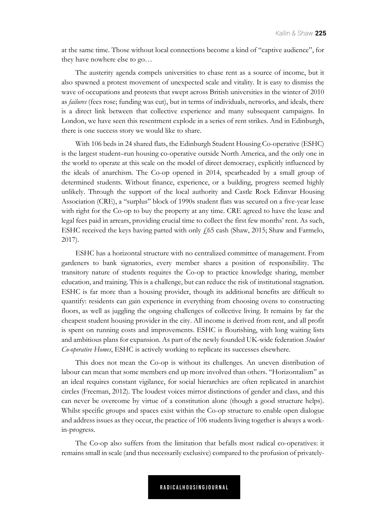at the same time. Those without local connections become a kind of "captive audience", for they have nowhere else to go…

The austerity agenda compels universities to chase rent as a source of income, but it also spawned a protest movement of unexpected scale and vitality. It is easy to dismiss the wave of occupations and protests that swept across British universities in the winter of 2010 as *failures* (fees rose; funding was cut), but in terms of individuals, networks, and ideals, there is a direct link between that collective experience and many subsequent campaigns. In London, we have seen this resentment explode in a series of rent strikes. And in Edinburgh, there is one success story we would like to share.

With 106 beds in 24 shared flats, the Edinburgh Student Housing Co-operative (ESHC) is the largest student–run housing co-operative outside North America, and the only one in the world to operate at this scale on the model of direct democracy, explicitly influenced by the ideals of anarchism. The Co-op opened in 2014, spearheaded by a small group of determined students. Without finance, experience, or a building, progress seemed highly unlikely. Through the support of the local authority and Castle Rock Edinvar Housing Association (CRE), a "surplus" block of 1990s student flats was secured on a five-year lease with right for the Co-op to buy the property at any time. CRE agreed to have the lease and legal fees paid in arrears, providing crucial time to collect the first few months' rent. As such, ESHC received the keys having parted with only  $f(65 \text{ cash (Shaw}, 2015; \text{Shaw and Farmelo})$ 2017).

ESHC has a horizontal structure with no centralized committee of management. From gardeners to bank signatories, every member shares a position of responsibility. The transitory nature of students requires the Co-op to practice knowledge sharing, member education, and training. This is a challenge, but can reduce the risk of institutional stagnation. ESHC is far more than a housing provider, though its additional benefits are difficult to quantify: residents can gain experience in everything from choosing ovens to constructing floors, as well as juggling the ongoing challenges of collective living. It remains by far the cheapest student housing provider in the city. All income is derived from rent, and all profit is spent on running costs and improvements. ESHC is flourishing, with long waiting lists and ambitious plans for expansion. As part of the newly founded UK-wide federation *Student Co-operative Homes*, ESHC is actively working to replicate its successes elsewhere.

This does not mean the Co-op is without its challenges. An uneven distribution of labour can mean that some members end up more involved than others. "Horizontalism" as an ideal requires constant vigilance, for social hierarchies are often replicated in anarchist circles (Freeman, 2012). The loudest voices mirror distinctions of gender and class, and this can never be overcome by virtue of a constitution alone (though a good structure helps). Whilst specific groups and spaces exist within the Co-op structure to enable open dialogue and address issues as they occur, the practice of 106 students living together is always a workin-progress.

The Co-op also suffers from the limitation that befalls most radical co-operatives: it remains small in scale (and thus necessarily exclusive) compared to the profusion of privately-

**RADICALHOUSINGJOURNAL**